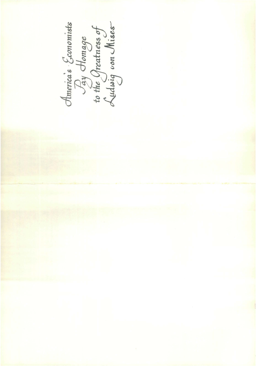America's Economists<br>Lay Homage<br>to the Greatness of<br>Ludwig von Mises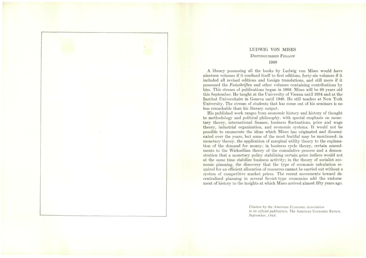

## LUDWIG VON MISES DISTINGUISHED FELLOW 1969

A library possessing all the books by Ludwig von Mises would have nineteen volumes if it confined itself to first editions, forty-six volumes if it included all revised editions and foreign translations, and still more if it possessed the *Festschriften* and other volumes containing contributions by him. This stream of publications began in 1902. Mises will be 88 years old this September. He taught at the University of Vienna until 1934 and at the lnstitut Universitaire in Geneva until 1940. He still teaches at New York University. The stream of students that has come out of his seminars is no less remarkable than his literary output.

His published work ranges from economic history and history of thought to methodology and political philosophy, with special emphasis on monetary theory, international finance, business fluctuations, price and wage theory, industrial organization, and economic systems. It would not be possible to enumerate the ideas which Mises has originated and disseminated over the years, but some of the most fruitful may be mentioned: in monetary theory, the application of marginal utility theory to the explanation of the demand for money; in business cycle theory, certain amendments to the Wicksellian theory of the cumulative process and a demonstration that a monetary policy stabilizing certain price indices would not at the same time stabilize business activity; in the theory of socialist economic planning, the discovery that the type of economic calculation required for an efficient allocation of resources cannot be carried out without a system of competitive market prices. The recent movements toward decentralized planning in several Soviet-type economies add the endorsement of history to the insights at which Mises arrived almost fifty years ago.

> *Citation by the American Economic Association in its official publication,* The American Economic Review, *September, 1969.*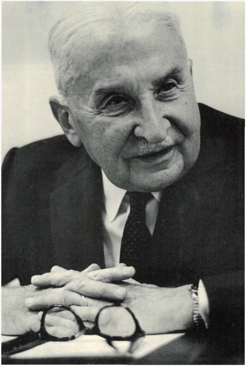